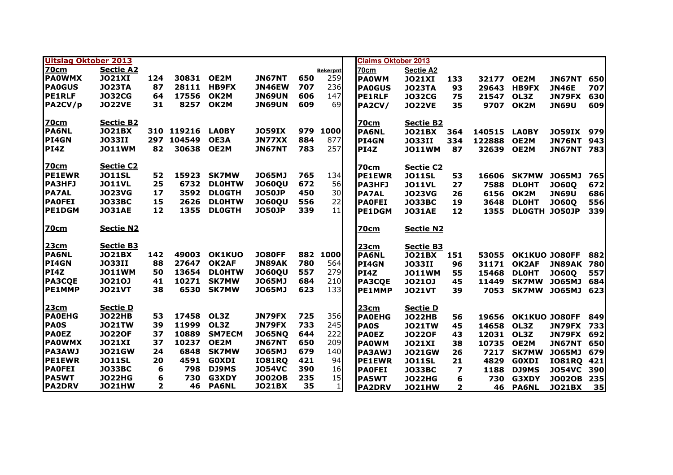| <b>Uitslag Oktober 2013</b> |                  |              |            |               |               |     |                 |  | <b>Claims Oktober 2013</b> |                  |              |            |               |               |     |
|-----------------------------|------------------|--------------|------------|---------------|---------------|-----|-----------------|--|----------------------------|------------------|--------------|------------|---------------|---------------|-----|
| <b>70cm</b>                 | <b>Sectie A2</b> |              |            |               |               |     | <b>Bekerpnt</b> |  | 70cm                       | <b>Sectie A2</b> |              |            |               |               |     |
| <b>PAOWMX</b>               | <b>JO21XI</b>    | 124          | 30831      | OE2M          | <b>JN67NT</b> | 650 | 259             |  | <b>PAOWM</b>               | <b>JO21XI</b>    | 133          | 32177      | OE2M          | <b>JN67NT</b> | 650 |
| <b>PA0GUS</b>               | <b>JO23TA</b>    | 87           | 28111      | <b>HB9FX</b>  | <b>JN46EW</b> | 707 | 236             |  | <b>PA0GUS</b>              | <b>JO23TA</b>    | 93           | 29643      | HB9FX         | <b>JN46E</b>  | 707 |
| <b>PE1RLF</b>               | <b>JO32CG</b>    | 64           | 17556      | OK2M          | <b>JN69UN</b> | 606 | 147             |  | <b>PE1RLF</b>              | <b>JO32CG</b>    | 75           | 21547      | OL3Z          | <b>JN79FX</b> | 630 |
| PA2CV/p                     | <b>JO22VE</b>    | 31           |            | 8257 OK2M     | <b>JN69UN</b> | 609 | 69              |  | <b>PA2CV/</b>              | <b>JO22VE</b>    | 35           | 9707       | OK2M          | <b>JN69U</b>  | 609 |
| <b>70cm</b>                 | <b>Sectie B2</b> |              |            |               |               |     |                 |  | <u>70cm</u>                | <b>Sectie B2</b> |              |            |               |               |     |
| <b>PA6NL</b>                | <b>JO21BX</b>    |              | 310 119216 | <b>LA0BY</b>  | <b>JO59IX</b> | 979 | 1000            |  | <b>PA6NL</b>               | <b>JO21BX</b>    | 364          | 140515     | <b>LA0BY</b>  | <b>JO59IX</b> | 979 |
| <b>PI4GN</b>                | <b>JO33II</b>    |              | 297 104549 | OE3A          | JN77XX        | 884 | 877             |  | <b>PI4GN</b>               | <b>JO33II</b>    | 334          | 122888     | OE2M          | <b>JN76NT</b> | 943 |
| <b>PI4Z</b>                 | <b>JO11WM</b>    | 82           | 30638      | OE2M          | <b>JN67NT</b> | 783 | 257             |  | <b>PI4Z</b>                | <b>JO11WM</b>    | 87           | 32639      | OE2M          | <b>JN67NT</b> | 783 |
| <b>70cm</b>                 | <b>Sectie C2</b> |              |            |               |               |     |                 |  | <b>70cm</b>                | <b>Sectie C2</b> |              |            |               |               |     |
| <b>PE1EWR</b>               | <b>JO11SL</b>    | 52           | 15923      | <b>SK7MW</b>  | <b>JO65MJ</b> | 765 | 134             |  | <b>PE1EWR</b>              | <b>JO11SL</b>    | 53           | 16606      | <b>SK7MW</b>  | <b>JO65MJ</b> | 765 |
| <b>PA3HFJ</b>               | <b>JO11VL</b>    | 25           | 6732       | <b>DLOHTW</b> | <b>JO60QU</b> | 672 | 56              |  | <b>PA3HFJ</b>              | <b>JO11VL</b>    | 27           | 7588       | <b>DLOHT</b>  | <b>JO600</b>  | 672 |
| <b>PA7AL</b>                | <b>JO23VG</b>    | 17           | 3592       | <b>DLOGTH</b> | <b>JO50JP</b> | 450 | 30              |  | <b>PA7AL</b>               | <b>JO23VG</b>    | 26           | 6156       | OK2M          | <b>JN69U</b>  | 686 |
| <b>PAOFEI</b>               | <b>JO33BC</b>    | 15           | 2626       | <b>DLOHTW</b> | <b>JO60QU</b> | 556 | 22              |  | <b>PAOFEI</b>              | <b>JO33BC</b>    | 19           | 3648       | <b>DLOHT</b>  | <b>JO600</b>  | 556 |
| <b>PE1DGM</b>               | <b>JO31AE</b>    | 12           | 1355       | <b>DLOGTH</b> | <b>JO50JP</b> | 339 | 11              |  | <b>PE1DGM</b>              | <b>JO31AE</b>    | 12           | 1355       | DLOGTH JO50JP |               | 339 |
| <b>70cm</b>                 | <b>Sectie N2</b> |              |            |               |               |     |                 |  | 70cm                       | <b>Sectie N2</b> |              |            |               |               |     |
| 23cm                        | Sectie B3        |              |            |               |               |     |                 |  | 23cm                       | <b>Sectie B3</b> |              |            |               |               |     |
| <b>PA6NL</b>                | <b>JO21BX</b>    | 142          | 49003      | <b>OK1KUO</b> | <b>JO80FF</b> |     | 882 1000        |  | <b>PA6NL</b>               | <b>JO21BX</b>    | 151          | 53055      | OK1KUO JO80FF |               | 882 |
| <b>PI4GN</b>                | <b>JO33II</b>    | 88           | 27647      | OK2AF         | <b>JN89AK</b> | 780 | 564             |  | <b>PI4GN</b>               | <b>JO33II</b>    | 96           | 31171      | OK2AF         | <b>JN89AK</b> | 780 |
| <b>PI4Z</b>                 | <b>JO11WM</b>    | 50           | 13654      | <b>DLOHTW</b> | <b>JO60QU</b> | 557 | 279             |  | PI4Z                       | <b>JO11WM</b>    | 55           | 15468      | <b>DLOHT</b>  | <b>JO60Q</b>  | 557 |
| <b>PA3CQE</b>               | <b>JO210J</b>    | 41           | 10271      | <b>SK7MW</b>  | <b>JO65MJ</b> | 684 | 210             |  | <b>PA3COE</b>              | <b>JO210J</b>    | 45           | 11449      | <b>SK7MW</b>  | J065MJ        | 684 |
| <b>PE1MMP</b>               | <b>JO21VT</b>    | 38           | 6530       | <b>SK7MW</b>  | <b>JO65MJ</b> | 623 | 133             |  | <b>PE1MMP</b>              | <b>JO21VT</b>    | 39           | 7053       | SK7MW JO65MJ  |               | 623 |
| <b>23cm</b>                 | <b>Sectie D</b>  |              |            |               |               |     |                 |  | 23cm                       | <b>Sectie D</b>  |              |            |               |               |     |
| <b>PAOEHG</b>               | <b>JO22HB</b>    | 53           | 17458      | OL3Z          | JN79FX        | 725 | 356             |  | <b>PAOEHG</b>              | <b>JO22HB</b>    | 56           | 19656      | OK1KUO JO80FF |               | 849 |
| <b>PA0S</b>                 | <b>JO21TW</b>    | 39           | 11999      | OL3Z          | <b>JN79FX</b> | 733 | 245             |  | <b>PAOS</b>                | <b>JO21TW</b>    | 45           | 14658      | OL3Z          | JN79FX        | 733 |
| <b>PAOEZ</b>                | <b>JO220F</b>    | 37           | 10889      | <b>SM7ECM</b> | <b>JO65NQ</b> | 644 | 222             |  | <b>PAOEZ</b>               | <b>JO220F</b>    | 43           | 12031 OL3Z |               | <b>JN79FX</b> | 692 |
| <b>PAOWMX</b>               | <b>JO21XI</b>    | 37           | 10237      | OE2M          | <b>JN67NT</b> | 650 | 209             |  | <b>PAOWM</b>               | <b>JO21XI</b>    | 38           | 10735 OE2M |               | <b>JN67NT</b> | 650 |
| <b>PA3AWJ</b>               | <b>JO21GW</b>    | 24           | 6848       | <b>SK7MW</b>  | <b>JO65MJ</b> | 679 | 140             |  | <b>PA3AWJ</b>              | <b>JO21GW</b>    | 26           | 7217       | <b>SK7MW</b>  | <b>JO65MJ</b> | 679 |
| <b>PE1EWR</b>               | <b>JO11SL</b>    | 20           | 4591       | <b>GOXDI</b>  | <b>IO81RQ</b> | 421 | 94              |  | <b>PE1EWR</b>              | <b>JO11SL</b>    | 21           | 4829       | <b>GOXDI</b>  | <b>IO81RQ</b> | 421 |
| <b>PAOFEI</b>               | <b>JO33BC</b>    | 6            | 798        | DJ9MS         | <b>JO54VC</b> | 390 | 16              |  | <b>PAOFEI</b>              | <b>JO33BC</b>    | 7            | 1188       | DJ9MS         | <b>JO54VC</b> | 390 |
| <b>PA5WT</b>                | <b>JO22HG</b>    | 6            | 730        | G3XDY         | <b>JO02OB</b> | 235 | 15              |  | <b>PA5WT</b>               | <b>JO22HG</b>    | 6            | 730        | <b>G3XDY</b>  | <b>JO02OB</b> | 235 |
| <b>PA2DRV</b>               | <b>JO21HW</b>    | $\mathbf{2}$ | 46         | <b>PA6NL</b>  | <b>JO21BX</b> | 35  | $1\vert$        |  | <b>PA2DRV</b>              | <b>JO21HW</b>    | $\mathbf{2}$ | 46         | <b>PA6NL</b>  | <b>JO21BX</b> | 35  |
|                             |                  |              |            |               |               |     |                 |  |                            |                  |              |            |               |               |     |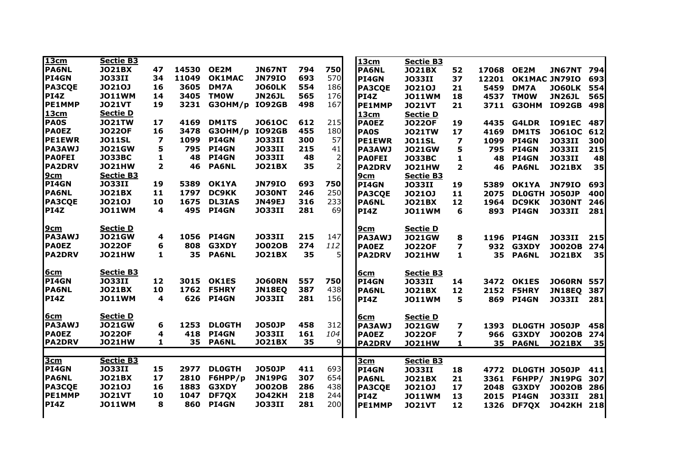| 13cm          | <b>Sectie B3</b> |                         |       |               |               |     |                | 13cm                 | <b>Sectie B3</b> |                         |       |                     |               |     |
|---------------|------------------|-------------------------|-------|---------------|---------------|-----|----------------|----------------------|------------------|-------------------------|-------|---------------------|---------------|-----|
| <b>PA6NL</b>  | <b>JO21BX</b>    | 47                      | 14530 | OE2M          | <b>JN67NT</b> | 794 | 750            | <b>PA6NL</b>         | <b>JO21BX</b>    | 52                      | 17068 | OE2M                | <b>JN67NT</b> | 794 |
| PI4GN         | <b>JO33II</b>    | 34                      | 11049 | <b>OK1MAC</b> | <b>JN79IO</b> | 693 | 570            | <b>PI4GN</b>         | <b>JO33II</b>    | 37                      |       | 12201 OK1MAC JN79IO |               | 693 |
| <b>PA3CQE</b> | <b>JO210J</b>    | 16                      | 3605  | DM7A          | <b>JO60LK</b> | 554 | 186            | <b>PA3COE</b>        | <b>JO210J</b>    | 21                      | 5459  | DM7A                | <b>JO60LK</b> | 554 |
| <b>PI4Z</b>   | <b>JO11WM</b>    | 14                      | 3405  | <b>TMOW</b>   | <b>JN26JL</b> | 565 | 176            | <b>PI4Z</b>          | <b>JO11WM</b>    | 18                      |       | 4537 TM0W           | <b>JN26JL</b> | 565 |
| <b>PE1MMP</b> | <b>JO21VT</b>    | 19                      | 3231  | G3OHM/p       | <b>IO92GB</b> | 498 | 167            | <b>PE1MMP</b>        | <b>JO21VT</b>    | 21                      | 3711  | <b>G3OHM</b>        | <b>IO92GB</b> | 498 |
| 13cm          | <b>Sectie D</b>  |                         |       |               |               |     |                | 13 <sub>cm</sub>     | <b>Sectie D</b>  |                         |       |                     |               |     |
| <b>PA0S</b>   | <b>JO21TW</b>    | 17                      | 4169  | <b>DM1TS</b>  | <b>JO61OC</b> | 612 | 215            | <b>PAOEZ</b>         | <b>JO220F</b>    | 19                      | 4435  | G4LDR               | <b>IO91EC</b> | 487 |
| <b>PAOEZ</b>  | <b>JO220F</b>    | 16                      | 3478  | G3OHM/p       | <b>IO92GB</b> | 455 | 180            | <b>PA0S</b>          | <b>JO21TW</b>    | 17                      | 4169  | <b>DM1TS</b>        | <b>JO61OC</b> | 612 |
| <b>PE1EWR</b> | <b>JO11SL</b>    | $\overline{\mathbf{z}}$ | 1099  | PI4GN         | <b>JO33II</b> | 300 | 57             | <b>PE1EWR</b>        | <b>JO11SL</b>    | $\overline{\mathbf{z}}$ | 1099  | <b>PI4GN</b>        | <b>JO33II</b> | 300 |
| <b>PA3AWJ</b> | <b>JO21GW</b>    | 5                       | 795   | <b>PI4GN</b>  | <b>JO33II</b> | 215 | 41             | <b>PA3AWJ</b>        | <b>JO21GW</b>    | 5                       | 795   | <b>PI4GN</b>        | <b>JO33II</b> | 215 |
| <b>PAOFEI</b> | <b>JO33BC</b>    | 1                       | 48    | PI4GN         | <b>JO33II</b> | 48  | $\overline{2}$ | <b>PAOFEI</b>        | <b>JO33BC</b>    | 1                       | 48    | <b>PI4GN</b>        | <b>JO33II</b> | 48  |
| <b>PA2DRV</b> | <b>JO21HW</b>    | $\overline{\mathbf{2}}$ | 46    | <b>PA6NL</b>  | <b>JO21BX</b> | 35  | $\overline{2}$ | <b>PA2DRV</b>        | <b>JO21HW</b>    | $\overline{2}$          | 46    | <b>PA6NL</b>        | <b>JO21BX</b> | 35  |
| <u>9cm</u>    | <b>Sectie B3</b> |                         |       |               |               |     |                | 9cm                  | <b>Sectie B3</b> |                         |       |                     |               |     |
| PI4GN         | <b>JO33II</b>    | 19                      | 5389  | OK1YA         | <b>JN79IO</b> | 693 | 750            | PI4GN                | <b>JO33II</b>    | 19                      | 5389  | OK1YA               | <b>JN79IO</b> | 693 |
| PA6NL         | <b>JO21BX</b>    | 11                      | 1797  | <b>DC9KK</b>  | <b>JO30NT</b> | 246 | 250            | <b>PA3CQE</b>        | <b>JO210J</b>    | 11                      | 2075  | DLOGTH JO50JP       |               | 400 |
| <b>PA3CQE</b> | <b>JO210J</b>    | 10                      | 1675  | <b>DL3IAS</b> | <b>JN49EJ</b> | 316 | 233            | <b>PA6NL</b>         | <b>JO21BX</b>    | 12                      | 1964  | <b>DC9KK</b>        | <b>JO30NT</b> | 246 |
| <b>PI4Z</b>   | <b>JO11WM</b>    | 4                       | 495   | <b>PI4GN</b>  | <b>JO33II</b> | 281 | 69             | <b>PI4Z</b>          | <b>JO11WM</b>    | 6                       | 893   | <b>PI4GN</b>        | <b>JO33II</b> | 281 |
| 9cm           | <b>Sectie D</b>  |                         |       |               |               |     |                |                      | <b>Sectie D</b>  |                         |       |                     |               |     |
| PA3AWJ        | <b>JO21GW</b>    | 4                       | 1056  | PI4GN         | <b>JO33II</b> | 215 | 147            | 9cm<br><b>PA3AWJ</b> | <b>JO21GW</b>    | 8                       | 1196  | <b>PI4GN</b>        | <b>JO33II</b> | 215 |
| <b>PAOEZ</b>  | <b>JO220F</b>    | 6                       | 808   | G3XDY         | <b>JO02OB</b> | 274 | 112            | <b>PAOEZ</b>         | <b>JO220F</b>    | $\overline{\mathbf{z}}$ | 932   | G3XDY               | <b>JO02OB</b> | 274 |
| <b>PA2DRV</b> | <b>JO21HW</b>    | 1                       | 35    | <b>PA6NL</b>  | <b>JO21BX</b> | 35  | 5              | <b>PA2DRV</b>        |                  | 1                       | 35    |                     |               | 35  |
|               |                  |                         |       |               |               |     |                |                      | <b>JO21HW</b>    |                         |       | <b>PA6NL</b>        | <b>JO21BX</b> |     |
| 6cm           | <b>Sectie B3</b> |                         |       |               |               |     |                | 6 <sub>cm</sub>      | <b>Sectie B3</b> |                         |       |                     |               |     |
| PI4GN         | <b>JO33II</b>    | 12                      | 3015  | <b>OK1ES</b>  | <b>JO60RN</b> | 557 | 750            | <b>PI4GN</b>         | <b>JO33II</b>    | 14                      |       | 3472 OK1ES          | <b>JO60RN</b> | 557 |
| <b>PA6NL</b>  | <b>JO21BX</b>    | 10                      |       | 1762 F5HRY    | <b>JN18EQ</b> | 387 | 438            | <b>PA6NL</b>         | <b>JO21BX</b>    | 12                      | 2152  | <b>F5HRY</b>        | <b>JN18EQ</b> | 387 |
| <b>PI4Z</b>   | <b>JO11WM</b>    | 4                       |       | 626 PI4GN     | <b>JO33II</b> | 281 | 156            | <b>PI4Z</b>          | <b>JO11WM</b>    | 5.                      | 869   | <b>PI4GN</b>        | <b>JO33II</b> | 281 |
| 6cm           | <b>Sectie D</b>  |                         |       |               |               |     |                | <b>6cm</b>           | <b>Sectie D</b>  |                         |       |                     |               |     |
| <b>PA3AWJ</b> | <b>JO21GW</b>    | 6                       | 1253  | <b>DLOGTH</b> | <b>JO50JP</b> | 458 | 312            | <b>PA3AWJ</b>        | <b>JO21GW</b>    | $\overline{ }$          | 1393  | DLOGTH JO50JP       |               | 458 |
| <b>PAOEZ</b>  | <b>JO220F</b>    | 4                       | 418   | PI4GN         | <b>JO33II</b> | 161 | 104            | <b>PAOEZ</b>         | <b>JO220F</b>    | $\overline{\mathbf{z}}$ | 966   | G3XDY               | <b>JO02OB</b> | 274 |
| <b>PA2DRV</b> | <b>JO21HW</b>    | 1                       |       | 35 PA6NL      | <b>JO21BX</b> | 35  | 9              | <b>PA2DRV</b>        | <b>JO21HW</b>    | 1                       |       | 35 PA6NL            | <b>JO21BX</b> | 35  |
|               |                  |                         |       |               |               |     |                |                      |                  |                         |       |                     |               |     |
| 3cm           | <b>Sectie B3</b> |                         |       |               |               |     |                | 3cm                  | <b>Sectie B3</b> |                         |       |                     |               |     |
| PI4GN         | <b>JO33II</b>    | 15                      | 2977  | <b>DLOGTH</b> | <b>JO50JP</b> | 411 | 693            | <b>PI4GN</b>         | <b>JO33II</b>    | 18                      |       | 4772 DL0GTH JO50JP  |               | 411 |
| <b>PA6NL</b>  | <b>JO21BX</b>    | 17                      | 2810  | F6HPP/p       | <b>JN19PG</b> | 307 | 654            | <b>PA6NL</b>         | <b>JO21BX</b>    | 21                      |       | 3361 F6HPP/ JN19PG  |               | 307 |
| <b>PA3CQE</b> | <b>JO210J</b>    | 16                      | 1883  | G3XDY         | <b>JO02OB</b> | 286 | 438            | <b>PA3CQE</b>        | <b>JO210J</b>    | 17                      | 2048  | G3XDY               | <b>JO02OB</b> | 286 |
| <b>PE1MMP</b> | <b>JO21VT</b>    | 10                      | 1047  | DF7QX         | <b>JO42KH</b> | 218 | 244            | <b>PI4Z</b>          | <b>JO11WM</b>    | 13                      | 2015  | <b>PI4GN</b>        | <b>JO33II</b> | 281 |
| <b>PI4Z</b>   | <b>JO11WM</b>    | 8                       | 860   | <b>PI4GN</b>  | <b>JO33II</b> | 281 | 200            | <b>PE1MMP</b>        | <b>JO21VT</b>    | 12                      | 1326  | DF7QX               | <b>JO42KH</b> | 218 |
|               |                  |                         |       |               |               |     |                |                      |                  |                         |       |                     |               |     |